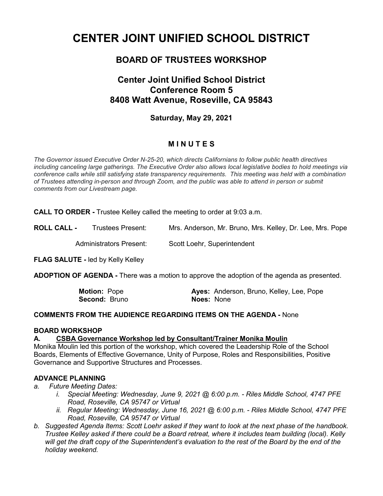# **CENTER JOINT UNIFIED SCHOOL DISTRICT**

# **BOARD OF TRUSTEES WORKSHOP**

# **Center Joint Unified School District Conference Room 5 8408 Watt Avenue, Roseville, CA 95843**

## **Saturday, May 29, 2021**

## **M I N U T E S**

*The Governor issued Executive Order N-25-20, which directs Californians to follow public health directives including canceling large gatherings. The Executive Order also allows local legislative bodies to hold meetings via conference calls while still satisfying state transparency requirements. This meeting was held with a combination of Trustees attending in-person and through Zoom, and the public was able to attend in person or submit comments from our Livestream page.*

**CALL TO ORDER -** Trustee Kelley called the meeting to order at 9:03 a.m.

**ROLL CALL -** Trustees Present: Mrs. Anderson, Mr. Bruno, Mrs. Kelley, Dr. Lee, Mrs. Pope

Administrators Present: Scott Loehr, Superintendent

**FLAG SALUTE -** led by Kelly Kelley

**ADOPTION OF AGENDA -** There was a motion to approve the adoption of the agenda as presented.

| <b>Motion: Pope</b>  | Ayes: Anderson, Bruno, Kelley, Lee, Pope |
|----------------------|------------------------------------------|
| <b>Second: Bruno</b> | <b>Noes: None</b>                        |

#### **COMMENTS FROM THE AUDIENCE REGARDING ITEMS ON THE AGENDA -** None

#### **BOARD WORKSHOP**

#### **A. CSBA Governance Workshop led by Consultant/Trainer Monika Moulin**

Monika Moulin led this portion of the workshop, which covered the Leadership Role of the School Boards, Elements of Effective Governance, Unity of Purpose, Roles and Responsibilities, Positive Governance and Supportive Structures and Processes.

#### **ADVANCE PLANNING**

- *a. Future Meeting Dates:*
	- *i. Special Meeting: Wednesday, June 9, 2021 @ 6:00 p.m. - Riles Middle School, 4747 PFE Road, Roseville, CA 95747 or Virtual*
	- *ii. Regular Meeting: Wednesday, June 16, 2021 @ 6:00 p.m. - Riles Middle School, 4747 PFE Road, Roseville, CA 95747 or Virtual*
- *b. Suggested Agenda Items: Scott Loehr asked if they want to look at the next phase of the handbook. Trustee Kelley asked if there could be a Board retreat, where it includes team building (local). Kelly will get the draft copy of the Superintendent's evaluation to the rest of the Board by the end of the holiday weekend.*